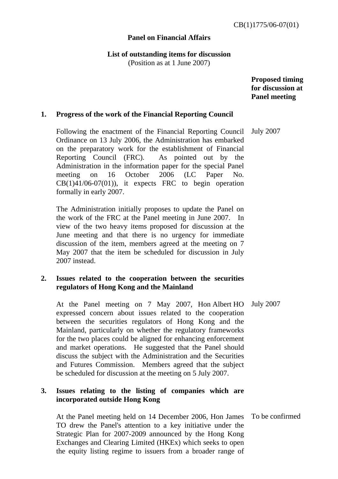## **Panel on Financial Affairs**

**List of outstanding items for discussion** 

(Position as at 1 June 2007)

 **Proposed timing for discussion at Panel meeting** 

# **1. Progress of the work of the Financial Reporting Council**

 Following the enactment of the Financial Reporting Council Ordinance on 13 July 2006, the Administration has embarked on the preparatory work for the establishment of Financial Reporting Council (FRC). As pointed out by the Administration in the information paper for the special Panel meeting on 16 October 2006 (LC Paper No.  $CB(1)41/06-07(01)$ , it expects FRC to begin operation formally in early 2007.

 The Administration initially proposes to update the Panel on the work of the FRC at the Panel meeting in June 2007. In view of the two heavy items proposed for discussion at the June meeting and that there is no urgency for immediate discussion of the item, members agreed at the meeting on 7 May 2007 that the item be scheduled for discussion in July 2007 instead.

# **2. Issues related to the cooperation between the securities regulators of Hong Kong and the Mainland**

 At the Panel meeting on 7 May 2007, Hon Albert HO expressed concern about issues related to the cooperation between the securities regulators of Hong Kong and the Mainland, particularly on whether the regulatory frameworks for the two places could be aligned for enhancing enforcement and market operations. He suggested that the Panel should discuss the subject with the Administration and the Securities and Futures Commission. Members agreed that the subject be scheduled for discussion at the meeting on 5 July 2007. July 2007

# **3. Issues relating to the listing of companies which are incorporated outside Hong Kong**

 At the Panel meeting held on 14 December 2006, Hon James TO drew the Panel's attention to a key initiative under the Strategic Plan for 2007-2009 announced by the Hong Kong Exchanges and Clearing Limited (HKEx) which seeks to open the equity listing regime to issuers from a broader range of To be confirmed

July 2007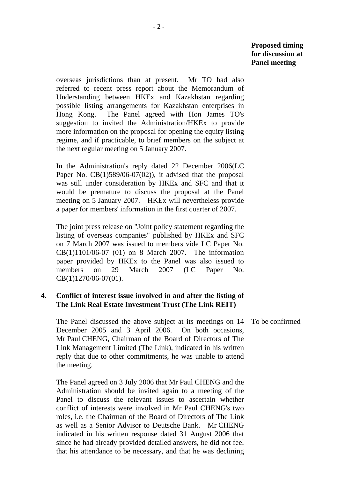overseas jurisdictions than at present. Mr TO had also referred to recent press report about the Memorandum of Understanding between HKEx and Kazakhstan regarding possible listing arrangements for Kazakhstan enterprises in Hong Kong. The Panel agreed with Hon James TO's suggestion to invited the Administration/HKEx to provide more information on the proposal for opening the equity listing regime, and if practicable, to brief members on the subject at the next regular meeting on 5 January 2007.

 In the Administration's reply dated 22 December 2006(LC Paper No.  $CB(1)589/06-07(02)$ , it advised that the proposal was still under consideration by HKEx and SFC and that it would be premature to discuss the proposal at the Panel meeting on 5 January 2007. HKEx will nevertheless provide a paper for members' information in the first quarter of 2007.

 The joint press release on "Joint policy statement regarding the listing of overseas companies" published by HKEx and SFC on 7 March 2007 was issued to members vide LC Paper No. CB(1)1101/06-07 (01) on 8 March 2007. The information paper provided by HKEx to the Panel was also issued to members on 29 March 2007 (LC Paper No. CB(1)1270/06-07(01).

## **4. Conflict of interest issue involved in and after the listing of The Link Real Estate Investment Trust (The Link REIT)**

 The Panel discussed the above subject at its meetings on 14 December 2005 and 3 April 2006. On both occasions, Mr Paul CHENG, Chairman of the Board of Directors of The Link Management Limited (The Link), indicated in his written reply that due to other commitments, he was unable to attend the meeting.

 The Panel agreed on 3 July 2006 that Mr Paul CHENG and the Administration should be invited again to a meeting of the Panel to discuss the relevant issues to ascertain whether conflict of interests were involved in Mr Paul CHENG's two roles, i.e. the Chairman of the Board of Directors of The Link as well as a Senior Advisor to Deutsche Bank. Mr CHENG indicated in his written response dated 31 August 2006 that since he had already provided detailed answers, he did not feel that his attendance to be necessary, and that he was declining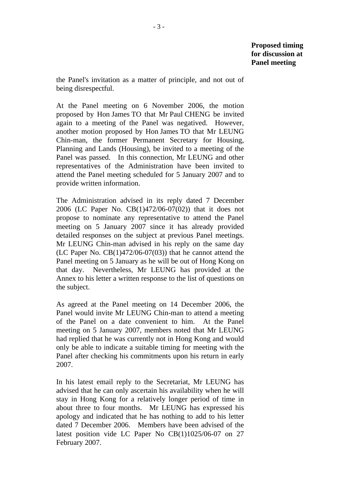the Panel's invitation as a matter of principle, and not out of being disrespectful.

 At the Panel meeting on 6 November 2006, the motion proposed by Hon James TO that Mr Paul CHENG be invited again to a meeting of the Panel was negatived. However, another motion proposed by Hon James TO that Mr LEUNG Chin-man, the former Permanent Secretary for Housing, Planning and Lands (Housing), be invited to a meeting of the Panel was passed. In this connection, Mr LEUNG and other representatives of the Administration have been invited to attend the Panel meeting scheduled for 5 January 2007 and to provide written information.

 The Administration advised in its reply dated 7 December 2006 (LC Paper No. CB(1)472/06-07(02)) that it does not propose to nominate any representative to attend the Panel meeting on 5 January 2007 since it has already provided detailed responses on the subject at previous Panel meetings. Mr LEUNG Chin-man advised in his reply on the same day (LC Paper No.  $CB(1)472/06-07(03)$ ) that he cannot attend the Panel meeting on 5 January as he will be out of Hong Kong on that day. Nevertheless, Mr LEUNG has provided at the Annex to his letter a written response to the list of questions on the subject.

 As agreed at the Panel meeting on 14 December 2006, the Panel would invite Mr LEUNG Chin-man to attend a meeting of the Panel on a date convenient to him. At the Panel meeting on 5 January 2007, members noted that Mr LEUNG had replied that he was currently not in Hong Kong and would only be able to indicate a suitable timing for meeting with the Panel after checking his commitments upon his return in early 2007.

 In his latest email reply to the Secretariat, Mr LEUNG has advised that he can only ascertain his availability when he will stay in Hong Kong for a relatively longer period of time in about three to four months. Mr LEUNG has expressed his apology and indicated that he has nothing to add to his letter dated 7 December 2006. Members have been advised of the latest position vide LC Paper No CB(1)1025/06-07 on 27 February 2007.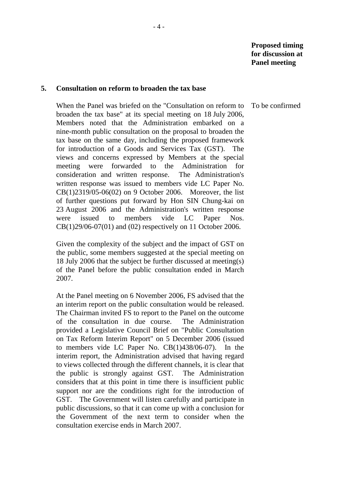#### **5. Consultation on reform to broaden the tax base**

 When the Panel was briefed on the "Consultation on reform to broaden the tax base" at its special meeting on 18 July 2006, Members noted that the Administration embarked on a nine-month public consultation on the proposal to broaden the tax base on the same day, including the proposed framework for introduction of a Goods and Services Tax (GST). The views and concerns expressed by Members at the special meeting were forwarded to the Administration for consideration and written response. The Administration's written response was issued to members vide LC Paper No. CB(1)2319/05-06(02) on 9 October 2006. Moreover, the list of further questions put forward by Hon SIN Chung-kai on 23 August 2006 and the Administration's written response were issued to members vide LC Paper Nos. CB(1)29/06-07(01) and (02) respectively on 11 October 2006.

 Given the complexity of the subject and the impact of GST on the public, some members suggested at the special meeting on 18 July 2006 that the subject be further discussed at meeting(s) of the Panel before the public consultation ended in March 2007.

 At the Panel meeting on 6 November 2006, FS advised that the an interim report on the public consultation would be released. The Chairman invited FS to report to the Panel on the outcome of the consultation in due course. The Administration provided a Legislative Council Brief on "Public Consultation on Tax Reform Interim Report" on 5 December 2006 (issued to members vide LC Paper No. CB(1)438/06-07). In the interim report, the Administration advised that having regard to views collected through the different channels, it is clear that the public is strongly against GST. The Administration considers that at this point in time there is insufficient public support nor are the conditions right for the introduction of GST. The Government will listen carefully and participate in public discussions, so that it can come up with a conclusion for the Government of the next term to consider when the consultation exercise ends in March 2007.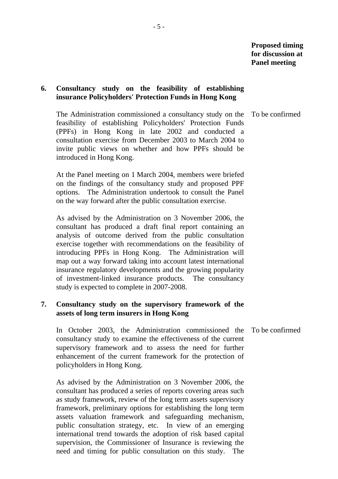## **6. Consultancy study on the feasibility of establishing insurance Policyholders' Protection Funds in Hong Kong**

 The Administration commissioned a consultancy study on the feasibility of establishing Policyholders' Protection Funds (PPFs) in Hong Kong in late 2002 and conducted a consultation exercise from December 2003 to March 2004 to invite public views on whether and how PPFs should be introduced in Hong Kong.

 At the Panel meeting on 1 March 2004, members were briefed on the findings of the consultancy study and proposed PPF options. The Administration undertook to consult the Panel on the way forward after the public consultation exercise.

 As advised by the Administration on 3 November 2006, the consultant has produced a draft final report containing an analysis of outcome derived from the public consultation exercise together with recommendations on the feasibility of introducing PPFs in Hong Kong. The Administration will map out a way forward taking into account latest international insurance regulatory developments and the growing popularity of investment-linked insurance products. The consultancy study is expected to complete in 2007-2008.

# **7. Consultancy study on the supervisory framework of the assets of long term insurers in Hong Kong**

 In October 2003, the Administration commissioned the consultancy study to examine the effectiveness of the current supervisory framework and to assess the need for further enhancement of the current framework for the protection of policyholders in Hong Kong.

 As advised by the Administration on 3 November 2006, the consultant has produced a series of reports covering areas such as study framework, review of the long term assets supervisory framework, preliminary options for establishing the long term assets valuation framework and safeguarding mechanism, public consultation strategy, etc. In view of an emerging international trend towards the adoption of risk based capital supervision, the Commissioner of Insurance is reviewing the need and timing for public consultation on this study. The

To be confirmed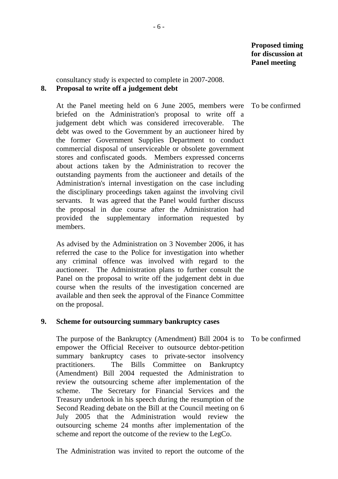consultancy study is expected to complete in 2007-2008. **8. Proposal to write off a judgement debt** 

 At the Panel meeting held on 6 June 2005, members were briefed on the Administration's proposal to write off a judgement debt which was considered irrecoverable. The debt was owed to the Government by an auctioneer hired by the former Government Supplies Department to conduct commercial disposal of unserviceable or obsolete government stores and confiscated goods. Members expressed concerns about actions taken by the Administration to recover the outstanding payments from the auctioneer and details of the Administration's internal investigation on the case including the disciplinary proceedings taken against the involving civil servants. It was agreed that the Panel would further discuss the proposal in due course after the Administration had provided the supplementary information requested by members.

 As advised by the Administration on 3 November 2006, it has referred the case to the Police for investigation into whether any criminal offence was involved with regard to the auctioneer. The Administration plans to further consult the Panel on the proposal to write off the judgement debt in due course when the results of the investigation concerned are available and then seek the approval of the Finance Committee on the proposal.

#### **9. Scheme for outsourcing summary bankruptcy cases**

 The purpose of the Bankruptcy (Amendment) Bill 2004 is to empower the Official Receiver to outsource debtor-petition summary bankruptcy cases to private-sector insolvency practitioners. The Bills Committee on Bankruptcy (Amendment) Bill 2004 requested the Administration to review the outsourcing scheme after implementation of the scheme. The Secretary for Financial Services and the Treasury undertook in his speech during the resumption of the Second Reading debate on the Bill at the Council meeting on 6 July 2005 that the Administration would review the outsourcing scheme 24 months after implementation of the scheme and report the outcome of the review to the LegCo.

The Administration was invited to report the outcome of the

To be confirmed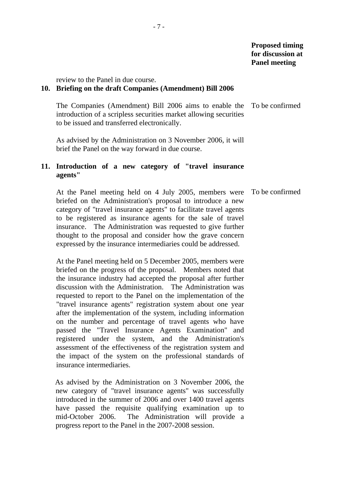review to the Panel in due course.

#### **10. Briefing on the draft Companies (Amendment) Bill 2006**

 The Companies (Amendment) Bill 2006 aims to enable the introduction of a scripless securities market allowing securities to be issued and transferred electronically. To be confirmed

 As advised by the Administration on 3 November 2006, it will brief the Panel on the way forward in due course.

## **11. Introduction of a new category of "travel insurance agents"**

 At the Panel meeting held on 4 July 2005, members were briefed on the Administration's proposal to introduce a new category of "travel insurance agents" to facilitate travel agents to be registered as insurance agents for the sale of travel insurance. The Administration was requested to give further thought to the proposal and consider how the grave concern expressed by the insurance intermediaries could be addressed. To be confirmed

 At the Panel meeting held on 5 December 2005, members were briefed on the progress of the proposal. Members noted that the insurance industry had accepted the proposal after further discussion with the Administration. The Administration was requested to report to the Panel on the implementation of the "travel insurance agents" registration system about one year after the implementation of the system, including information on the number and percentage of travel agents who have passed the "Travel Insurance Agents Examination" and registered under the system, and the Administration's assessment of the effectiveness of the registration system and the impact of the system on the professional standards of insurance intermediaries.

As advised by the Administration on 3 November 2006, the new category of "travel insurance agents" was successfully introduced in the summer of 2006 and over 1400 travel agents have passed the requisite qualifying examination up to mid-October 2006. The Administration will provide a progress report to the Panel in the 2007-2008 session.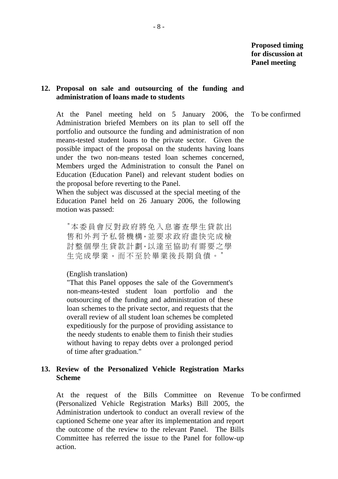#### **12. Proposal on sale and outsourcing of the funding and administration of loans made to students**

 At the Panel meeting held on 5 January 2006, the Administration briefed Members on its plan to sell off the portfolio and outsource the funding and administration of non means-tested student loans to the private sector. Given the possible impact of the proposal on the students having loans under the two non-means tested loan schemes concerned, Members urged the Administration to consult the Panel on Education (Education Panel) and relevant student bodies on the proposal before reverting to the Panel.

 When the subject was discussed at the special meeting of the Education Panel held on 26 January 2006, the following motion was passed:

"本委員會反對政府將免入息審查學生貸款出 售和外判予私營機構,並要求政府盡快完成檢 討整個學生貸款計劃,以達至協助有需要之學 生完成學業,而不至於畢業後長期負債。"

#### (English translation)

"That this Panel opposes the sale of the Government's non-means-tested student loan portfolio and the outsourcing of the funding and administration of these loan schemes to the private sector, and requests that the overall review of all student loan schemes be completed expeditiously for the purpose of providing assistance to the needy students to enable them to finish their studies without having to repay debts over a prolonged period of time after graduation."

#### **13. Review of the Personalized Vehicle Registration Marks Scheme**

 At the request of the Bills Committee on Revenue (Personalized Vehicle Registration Marks) Bill 2005, the Administration undertook to conduct an overall review of the captioned Scheme one year after its implementation and report the outcome of the review to the relevant Panel. The Bills Committee has referred the issue to the Panel for follow-up action. To be confirmed